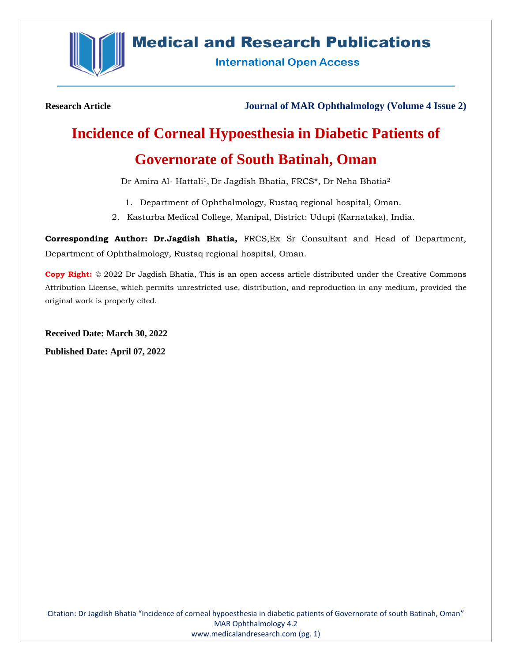

## **Medical and Research Publications**

**International Open Access** 

**Research Article Journal of MAR Ophthalmology (Volume 4 Issue 2)**

# **Incidence of Corneal Hypoesthesia in Diabetic Patients of**

## **Governorate of South Batinah, Oman**

Dr Amira Al- Hattali<sup>1</sup>, Dr Jagdish Bhatia, FRCS\*, Dr Neha Bhatia<sup>2</sup>

- 1. Department of Ophthalmology, Rustaq regional hospital, Oman.
- 2. Kasturba Medical College, Manipal, District: Udupi (Karnataka), India.

**Corresponding Author: Dr.Jagdish Bhatia,** FRCS,Ex Sr Consultant and Head of Department, Department of Ophthalmology, Rustaq regional hospital, Oman.

**Copy Right:** © 2022 Dr Jagdish Bhatia, This is an open access article distributed under the Creative Commons Attribution License, which permits unrestricted use, distribution, and reproduction in any medium, provided the original work is properly cited.

**Received Date: March 30, 2022 Published Date: April 07, 2022**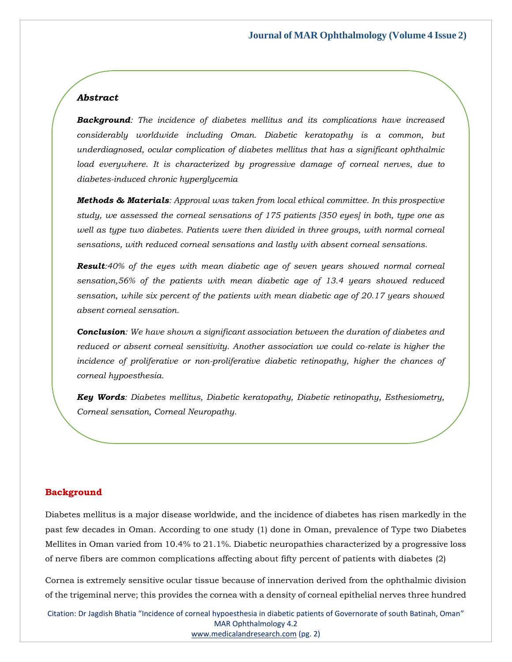#### *Abstract*

*Background: The incidence of diabetes mellitus and its complications have increased considerably worldwide including Oman. Diabetic keratopathy is a common, but underdiagnosed, ocular complication of diabetes mellitus that has a significant ophthalmic load everywhere. It is characterized by progressive damage of corneal nerves, due to diabetes-induced chronic hyperglycemia*

*Methods & Materials: Approval was taken from local ethical committee. In this prospective study, we assessed the corneal sensations of 175 patients [350 eyes] in both, type one as*  well as type two diabetes. Patients were then divided in three groups, with normal corneal *sensations, with reduced corneal sensations and lastly with absent corneal sensations.*

*Result:40% of the eyes with mean diabetic age of seven years showed normal corneal sensation,56% of the patients with mean diabetic age of 13.4 years showed reduced sensation, while six percent of the patients with mean diabetic age of 20.17 years showed absent corneal sensation.*

*Conclusion: We have shown a significant association between the duration of diabetes and reduced or absent corneal sensitivity. Another association we could co-relate is higher the incidence of proliferative or non-proliferative diabetic retinopathy, higher the chances of corneal hypoesthesia.* 

*Key Words: Diabetes mellitus, Diabetic keratopathy, Diabetic retinopathy, Esthesiometry, Corneal sensation, Corneal Neuropathy.*

#### **Background**

Diabetes mellitus is a major disease worldwide, and the incidence of diabetes has risen markedly in the past few decades in Oman. According to one study (1) done in Oman, prevalence of Type two Diabetes Mellites in Oman varied from 10.4% to 21.1%. Diabetic neuropathies characterized by a progressive loss of nerve fibers are common complications affecting about fifty percent of patients with diabetes (2)

Cornea is extremely sensitive ocular tissue because of innervation derived from the ophthalmic division of the trigeminal nerve; this provides the cornea with a density of corneal epithelial nerves three hundred

Citation: Dr Jagdish Bhatia "Incidence of corneal hypoesthesia in diabetic patients of Governorate of south Batinah, Oman" MAR Ophthalmology 4.2 [www.medicalandresearch.com](http://www.medicalandresearch.com/) (pg. 2)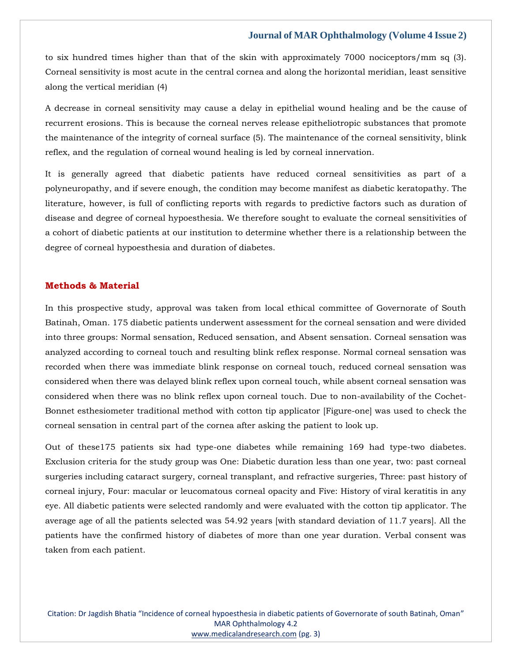#### **Journal of MAR Ophthalmology (Volume 4 Issue 2)**

to six hundred times higher than that of the skin with approximately 7000 nociceptors/mm sq (3). Corneal sensitivity is most acute in the central cornea and along the horizontal meridian, least sensitive along the vertical meridian (4)

A decrease in corneal sensitivity may cause a delay in epithelial wound healing and be the cause of recurrent erosions. This is because the corneal nerves release epitheliotropic substances that promote the maintenance of the integrity of corneal surface (5). The maintenance of the corneal sensitivity, blink reflex, and the regulation of corneal wound healing is led by corneal innervation.

It is generally agreed that diabetic patients have reduced corneal sensitivities as part of a polyneuropathy, and if severe enough, the condition may become manifest as diabetic keratopathy. The literature, however, is full of conflicting reports with regards to predictive factors such as duration of disease and degree of corneal hypoesthesia. We therefore sought to evaluate the corneal sensitivities of a cohort of diabetic patients at our institution to determine whether there is a relationship between the degree of corneal hypoesthesia and duration of diabetes.

#### **Methods & Material**

In this prospective study, approval was taken from local ethical committee of Governorate of South Batinah, Oman. 175 diabetic patients underwent assessment for the corneal sensation and were divided into three groups: Normal sensation, Reduced sensation, and Absent sensation. Corneal sensation was analyzed according to corneal touch and resulting blink reflex response. Normal corneal sensation was recorded when there was immediate blink response on corneal touch, reduced corneal sensation was considered when there was delayed blink reflex upon corneal touch, while absent corneal sensation was considered when there was no blink reflex upon corneal touch. Due to non-availability of the Cochet-Bonnet esthesiometer traditional method with cotton tip applicator [Figure-one] was used to check the corneal sensation in central part of the cornea after asking the patient to look up.

Out of these175 patients six had type-one diabetes while remaining 169 had type-two diabetes. Exclusion criteria for the study group was One: Diabetic duration less than one year, two: past corneal surgeries including cataract surgery, corneal transplant, and refractive surgeries, Three: past history of corneal injury, Four: macular or leucomatous corneal opacity and Five: History of viral keratitis in any eye. All diabetic patients were selected randomly and were evaluated with the cotton tip applicator. The average age of all the patients selected was 54.92 years [with standard deviation of 11.7 years]. All the patients have the confirmed history of diabetes of more than one year duration. Verbal consent was taken from each patient.

Citation: Dr Jagdish Bhatia "Incidence of corneal hypoesthesia in diabetic patients of Governorate of south Batinah, Oman" MAR Ophthalmology 4.2 [www.medicalandresearch.com](http://www.medicalandresearch.com/) (pg. 3)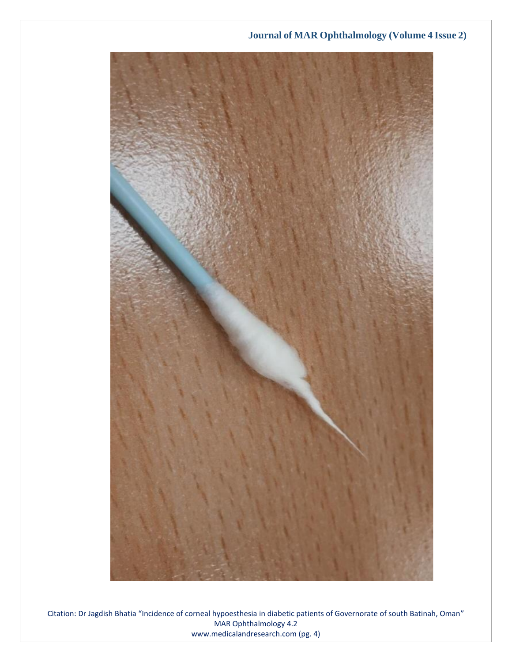



Citation: Dr Jagdish Bhatia "Incidence of corneal hypoesthesia in diabetic patients of Governorate of south Batinah, Oman" MAR Ophthalmology 4.2 [www.medicalandresearch.com](http://www.medicalandresearch.com/) (pg. 4)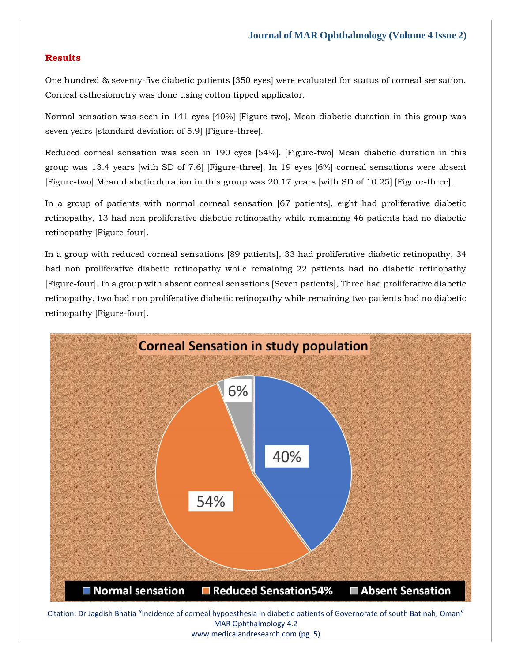#### **Results**

One hundred & seventy-five diabetic patients [350 eyes] were evaluated for status of corneal sensation. Corneal esthesiometry was done using cotton tipped applicator.

Normal sensation was seen in 141 eyes [40%] [Figure-two], Mean diabetic duration in this group was seven years [standard deviation of 5.9] [Figure-three].

Reduced corneal sensation was seen in 190 eyes [54%]. [Figure-two] Mean diabetic duration in this group was 13.4 years [with SD of 7.6] [Figure-three]. In 19 eyes [6%] corneal sensations were absent [Figure-two] Mean diabetic duration in this group was 20.17 years [with SD of 10.25] [Figure-three].

In a group of patients with normal corneal sensation [67 patients], eight had proliferative diabetic retinopathy, 13 had non proliferative diabetic retinopathy while remaining 46 patients had no diabetic retinopathy [Figure-four].

In a group with reduced corneal sensations [89 patients], 33 had proliferative diabetic retinopathy, 34 had non proliferative diabetic retinopathy while remaining 22 patients had no diabetic retinopathy [Figure-four]. In a group with absent corneal sensations [Seven patients], Three had proliferative diabetic retinopathy, two had non proliferative diabetic retinopathy while remaining two patients had no diabetic retinopathy [Figure-four].



Citation: Dr Jagdish Bhatia "Incidence of corneal hypoesthesia in diabetic patients of Governorate of south Batinah, Oman" MAR Ophthalmology 4.2 [www.medicalandresearch.com](http://www.medicalandresearch.com/) (pg. 5)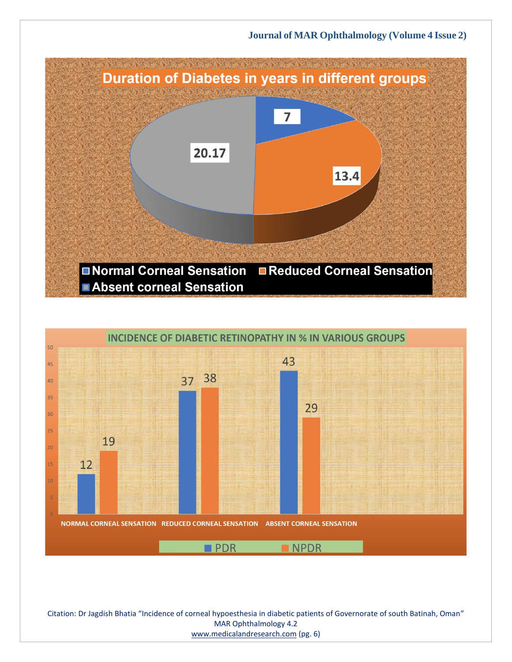### **Journal of MAR Ophthalmology (Volume 4 Issue 2)**





Citation: Dr Jagdish Bhatia "Incidence of corneal hypoesthesia in diabetic patients of Governorate of south Batinah, Oman" MAR Ophthalmology 4.2 [www.medicalandresearch.com](http://www.medicalandresearch.com/) (pg. 6)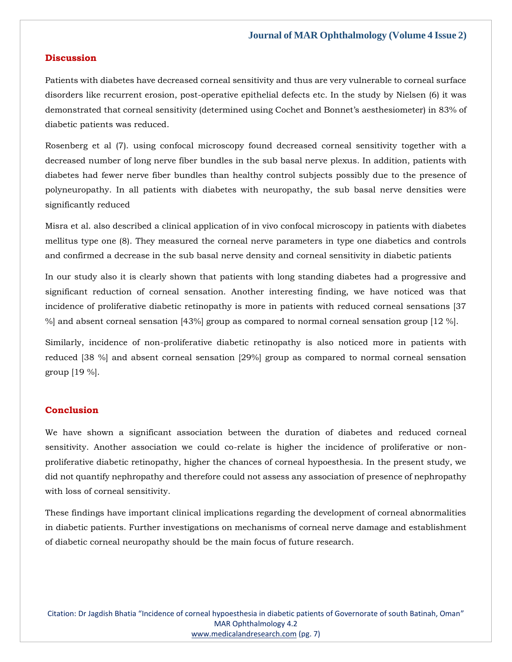#### **Discussion**

Patients with diabetes have decreased corneal sensitivity and thus are very vulnerable to corneal surface disorders like recurrent erosion, post-operative epithelial defects etc. In the study by Nielsen (6) it was demonstrated that corneal sensitivity (determined using Cochet and Bonnet's aesthesiometer) in 83% of diabetic patients was reduced.

Rosenberg et al (7). using confocal microscopy found decreased corneal sensitivity together with a decreased number of long nerve fiber bundles in the sub basal nerve plexus. In addition, patients with diabetes had fewer nerve fiber bundles than healthy control subjects possibly due to the presence of polyneuropathy. In all patients with diabetes with neuropathy, the sub basal nerve densities were significantly reduced

Misra et al. also described a clinical application of in vivo confocal microscopy in patients with diabetes mellitus type one (8). They measured the corneal nerve parameters in type one diabetics and controls and confirmed a decrease in the sub basal nerve density and corneal sensitivity in diabetic patients

In our study also it is clearly shown that patients with long standing diabetes had a progressive and significant reduction of corneal sensation. Another interesting finding, we have noticed was that incidence of proliferative diabetic retinopathy is more in patients with reduced corneal sensations [37 %] and absent corneal sensation [43%] group as compared to normal corneal sensation group [12 %].

Similarly, incidence of non-proliferative diabetic retinopathy is also noticed more in patients with reduced [38 %] and absent corneal sensation [29%] group as compared to normal corneal sensation group [19 %].

#### **Conclusion**

We have shown a significant association between the duration of diabetes and reduced corneal sensitivity. Another association we could co-relate is higher the incidence of proliferative or nonproliferative diabetic retinopathy, higher the chances of corneal hypoesthesia. In the present study, we did not quantify nephropathy and therefore could not assess any association of presence of nephropathy with loss of corneal sensitivity.

These findings have important clinical implications regarding the development of corneal abnormalities in diabetic patients. Further investigations on mechanisms of corneal nerve damage and establishment of diabetic corneal neuropathy should be the main focus of future research.